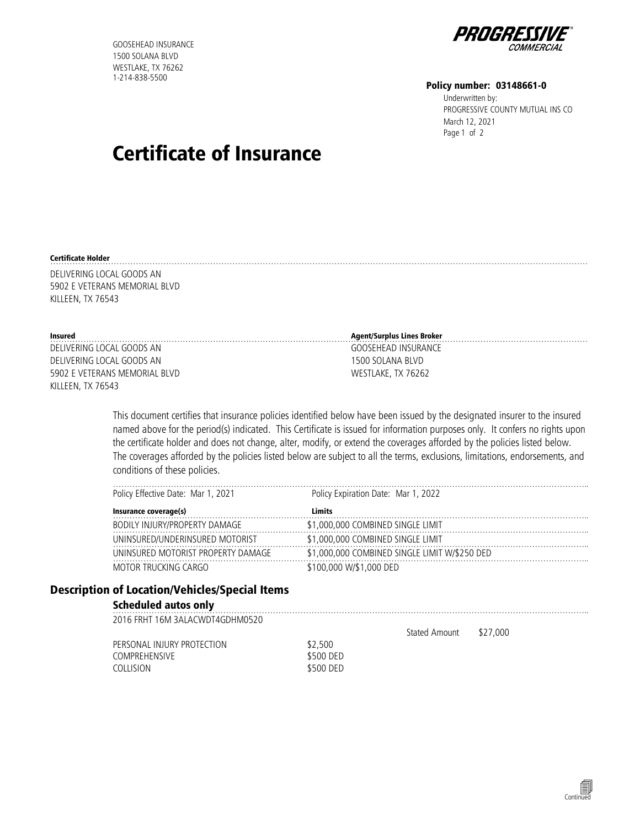GOOSEHEAD INSURANCE 1500 SOLANA BLVD WESTLAKE, TX 76262 1-214-838-5500



#### Policy number: 03148661-0

Underwritten by: PROGRESSIVE COUNTY MUTUAL INS CO<br>PROGRESSIVE COUNTY MUTUAL INS CO<br>Page 1 of 2 March 12, 2021

# Certificate of Insurance

#### Certificate Holder ……………………………………………………………………………………………………………………………………………………………………………

DELIVERING LOCAL GOODS AN 5902 E VETERANS MEMORIAL BLVD KILLEEN, TX 76543

| Insured                       | Agent/Surplus Lines Broker |
|-------------------------------|----------------------------|
| DELIVERING LOCAL GOODS AN     | GOOSEHEAD INSURANCE        |
| DELIVERING LOCAL GOODS AN     | 1500 SOLANA BLVD           |
| 5902 E VETERANS MEMORIAL BLVD | WESTLAKE, TX 76262         |
| KILLEEN, TX 76543             |                            |

This document certifies that insurance policies identified below have been issued by the designated insurer to the insured named above for the period(s) indicated. This Certificate is issued for information purposes only. It confers no rights upon the certificate holder and does not change, alter, modify, or extend the coverages afforded by the policies listed below. The coverages afforded by the policies listed below are subject to all the terms, exclusions, limitations, endorsements, and conditions of these policies.

| Policy Effective Date: Mar 1, 2021 | Policy Expiration Date: Mar 1, 2022           |
|------------------------------------|-----------------------------------------------|
| Insurance coverage(s)              | Limits                                        |
| BODILY INJURY/PROPERTY DAMAGE      | 1,000,000 COMBINED SINGLE LIMIT               |
| UNINSURED/UNDERINSURED MOTORIST    | \$1,000,000 COMBINED SINGLE LIMIT             |
| INSURED MOTORIST PROPERTY DAMAGE   | \$1,000,000 COMBINED SINGLE LIMIT W/\$250 DED |
| OR TRUCKING CARGO                  | '00.000 W/\$1.000 DFD                         |

## Description of Location/Vehicles/Special Items

## Scheduled autos only ………………………………………………………………………………………………………………………………………………………..

2016 FRHT 16M 3ALACWDT4GDHM0520

PERSONAL INJURY PROTECTION \$2,500 COMPREHENSIVE \$500 DED COLLISION \$500 DED Stated Amount \$27,000